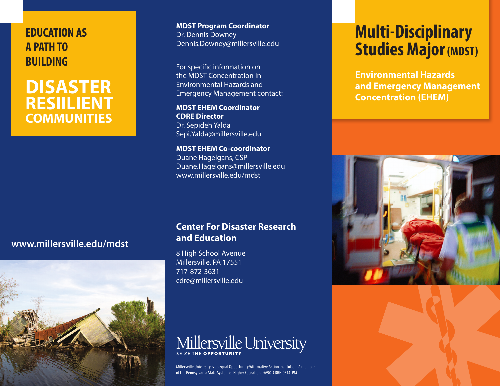## **EDUCATION AS A PATH TO BUILDING**

## **DISASTER RESIILIENT COMMUNITIES**

**MDST Program Coordinator** Dr. Dennis Downey Dennis.Downey@millersville.edu

For specific information on the MDST Concentration in Environmental Hazards and Emergency Management contact:

**MDST EHEM Coordinator CDRE Director** Dr. Sepideh Yalda Sepi.Yalda@millersville.edu

**MDST EHEM Co-coordinator** Duane Hagelgans, CSP Duane.Hagelgans@millersville.edu www.millersville.edu/mdst

# **Multi-Disciplinary Studies Major (MDST)**

**Environmental Hazards and Emergency Management Concentration (EHEM)**



#### **www.millersville.edu/mdst**



#### **Center For Disaster Research and Education**

8 High School Avenue Millersville, PA 17551 717-872-3631 cdre@millersville.edu

# Millersville University

Millersville University is an Equal Opportunity/Affirmative Action institution. A member of the Pennsylvania State System of Higher Education. 5690-CDRE-0514-PM